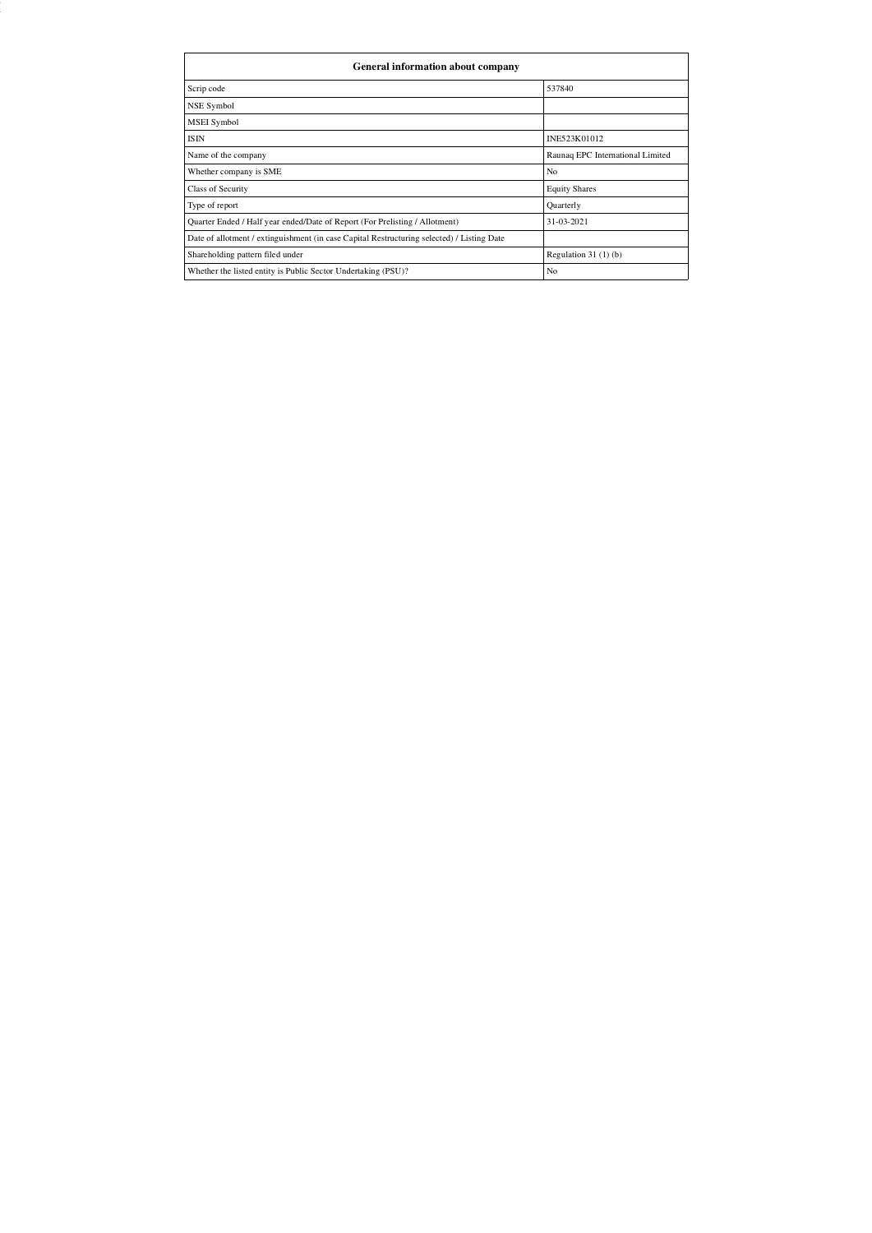| General information about company                                                          |                                  |  |  |  |  |  |  |  |
|--------------------------------------------------------------------------------------------|----------------------------------|--|--|--|--|--|--|--|
| Scrip code                                                                                 | 537840                           |  |  |  |  |  |  |  |
| NSE Symbol                                                                                 |                                  |  |  |  |  |  |  |  |
| MSEI Symbol                                                                                |                                  |  |  |  |  |  |  |  |
| <b>ISIN</b>                                                                                | INE523K01012                     |  |  |  |  |  |  |  |
| Name of the company                                                                        | Raunaq EPC International Limited |  |  |  |  |  |  |  |
| Whether company is SME                                                                     | No                               |  |  |  |  |  |  |  |
| <b>Class of Security</b>                                                                   | <b>Equity Shares</b>             |  |  |  |  |  |  |  |
| Type of report                                                                             | Quarterly                        |  |  |  |  |  |  |  |
| Quarter Ended / Half year ended/Date of Report (For Prelisting / Allotment)                | 31-03-2021                       |  |  |  |  |  |  |  |
| Date of allotment / extinguishment (in case Capital Restructuring selected) / Listing Date |                                  |  |  |  |  |  |  |  |
| Shareholding pattern filed under                                                           | Regulation $31(1)(b)$            |  |  |  |  |  |  |  |
| Whether the listed entity is Public Sector Undertaking (PSU)?                              | N <sub>o</sub>                   |  |  |  |  |  |  |  |

Firefox file:///C:/Users/Kaushal Narula/Desktop/Quarterly Compliance/REIL/...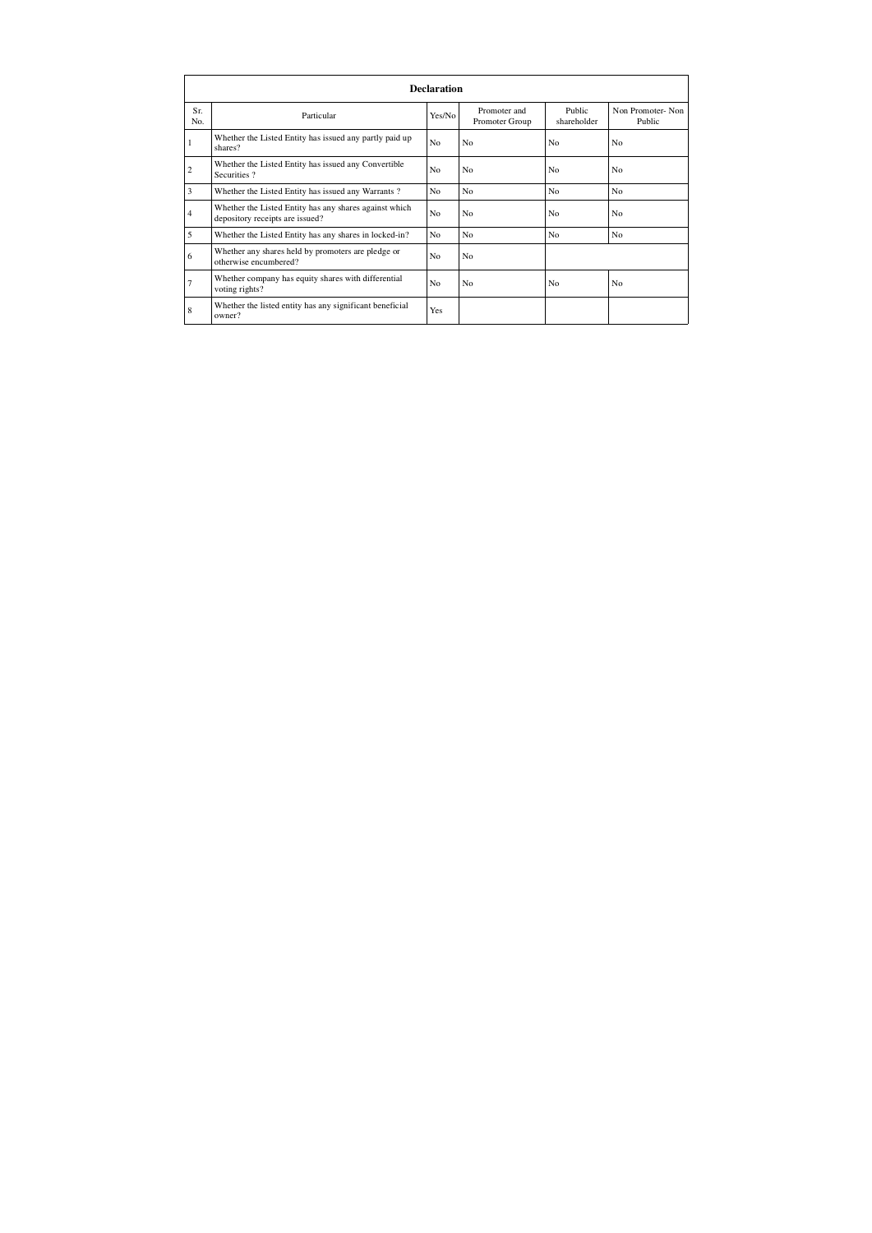|                | <b>Declaration</b>                                                                        |                |                                |                       |                            |  |  |  |  |  |
|----------------|-------------------------------------------------------------------------------------------|----------------|--------------------------------|-----------------------|----------------------------|--|--|--|--|--|
| Sr.<br>No.     | Particular                                                                                | Yes/No         | Promoter and<br>Promoter Group | Public<br>shareholder | Non Promoter-Non<br>Public |  |  |  |  |  |
| 1              | Whether the Listed Entity has issued any partly paid up<br>shares?                        | N <sub>0</sub> | N <sub>0</sub>                 | N <sub>0</sub>        | No.                        |  |  |  |  |  |
| $\overline{c}$ | Whether the Listed Entity has issued any Convertible<br>Securities?                       | No             | N <sub>0</sub>                 | N <sub>o</sub>        | No.                        |  |  |  |  |  |
| 3              | Whether the Listed Entity has issued any Warrants?                                        | N <sub>0</sub> | N <sub>0</sub>                 | No.                   | No.                        |  |  |  |  |  |
| $\overline{4}$ | Whether the Listed Entity has any shares against which<br>depository receipts are issued? | No             | N <sub>0</sub>                 | No                    | No.                        |  |  |  |  |  |
| 5              | Whether the Listed Entity has any shares in locked-in?                                    | No             | N <sub>0</sub>                 | N <sub>o</sub>        | N <sub>o</sub>             |  |  |  |  |  |
| 6              | Whether any shares held by promoters are pledge or<br>otherwise encumbered?               | N <sub>0</sub> | N <sub>0</sub>                 |                       |                            |  |  |  |  |  |
| $\overline{7}$ | Whether company has equity shares with differential<br>voting rights?                     | N <sub>o</sub> | N <sub>0</sub>                 | No                    | N <sub>o</sub>             |  |  |  |  |  |
| 8              | Whether the listed entity has any significant beneficial<br>owner?                        | Yes            |                                |                       |                            |  |  |  |  |  |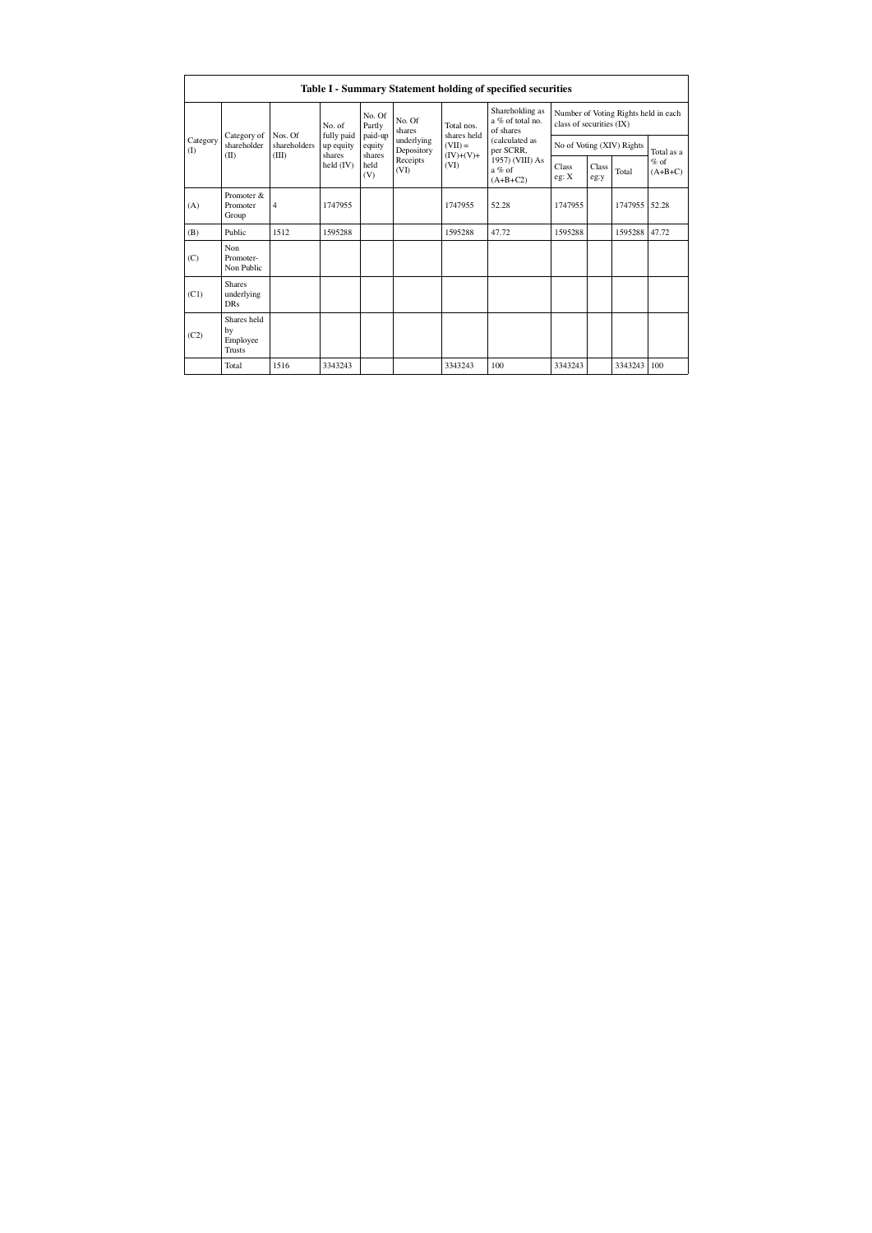|                          | Table I - Summary Statement holding of specified securities |                      |                       |                             |                          |                                         |                                                  |                                                                  |       |                           |            |
|--------------------------|-------------------------------------------------------------|----------------------|-----------------------|-----------------------------|--------------------------|-----------------------------------------|--------------------------------------------------|------------------------------------------------------------------|-------|---------------------------|------------|
|                          | Category of                                                 | Nos. Of              | No. of<br>fully paid  | No. Of<br>Partly<br>paid-up | No. Of<br>shares         | Total nos.<br>shares held               | Shareholding as<br>a % of total no.<br>of shares | Number of Voting Rights held in each<br>class of securities (IX) |       |                           |            |
| Category<br>$($ $\Gamma$ | shareholder                                                 | shareholders         | up equity<br>shares   | equity                      | underlying<br>Depository | $(VII) =$<br>$(IV)+(V)+$                | (calculated as<br>per SCRR,                      |                                                                  |       | No of Voting (XIV) Rights | Total as a |
| (II)                     |                                                             | (III)<br>held $(IV)$ | shares<br>held<br>(V) | Receipts<br>(VI)            | (VI)                     | 1957) (VIII) As<br>a % of<br>$(A+B+C2)$ | Class<br>eg: X                                   | <b>Class</b><br>eg:y                                             | Total | $%$ of<br>$(A+B+C)$       |            |
| (A)                      | Promoter &<br>Promoter<br>Group                             | $\overline{4}$       | 1747955               |                             |                          | 1747955                                 | 52.28                                            | 1747955                                                          |       | 1747955                   | 52.28      |
| (B)                      | Public                                                      | 1512                 | 1595288               |                             |                          | 1595288                                 | 47.72                                            | 1595288                                                          |       | 1595288 47.72             |            |
| (C)                      | Non<br>Promoter-<br>Non Public                              |                      |                       |                             |                          |                                         |                                                  |                                                                  |       |                           |            |
| (C1)                     | <b>Shares</b><br>underlying<br><b>DRs</b>                   |                      |                       |                             |                          |                                         |                                                  |                                                                  |       |                           |            |
| (C2)                     | Shares held<br>by<br>Employee<br>Trusts                     |                      |                       |                             |                          |                                         |                                                  |                                                                  |       |                           |            |
|                          | Total                                                       | 1516                 | 3343243               |                             |                          | 3343243                                 | 100                                              | 3343243                                                          |       | 3343243                   | 100        |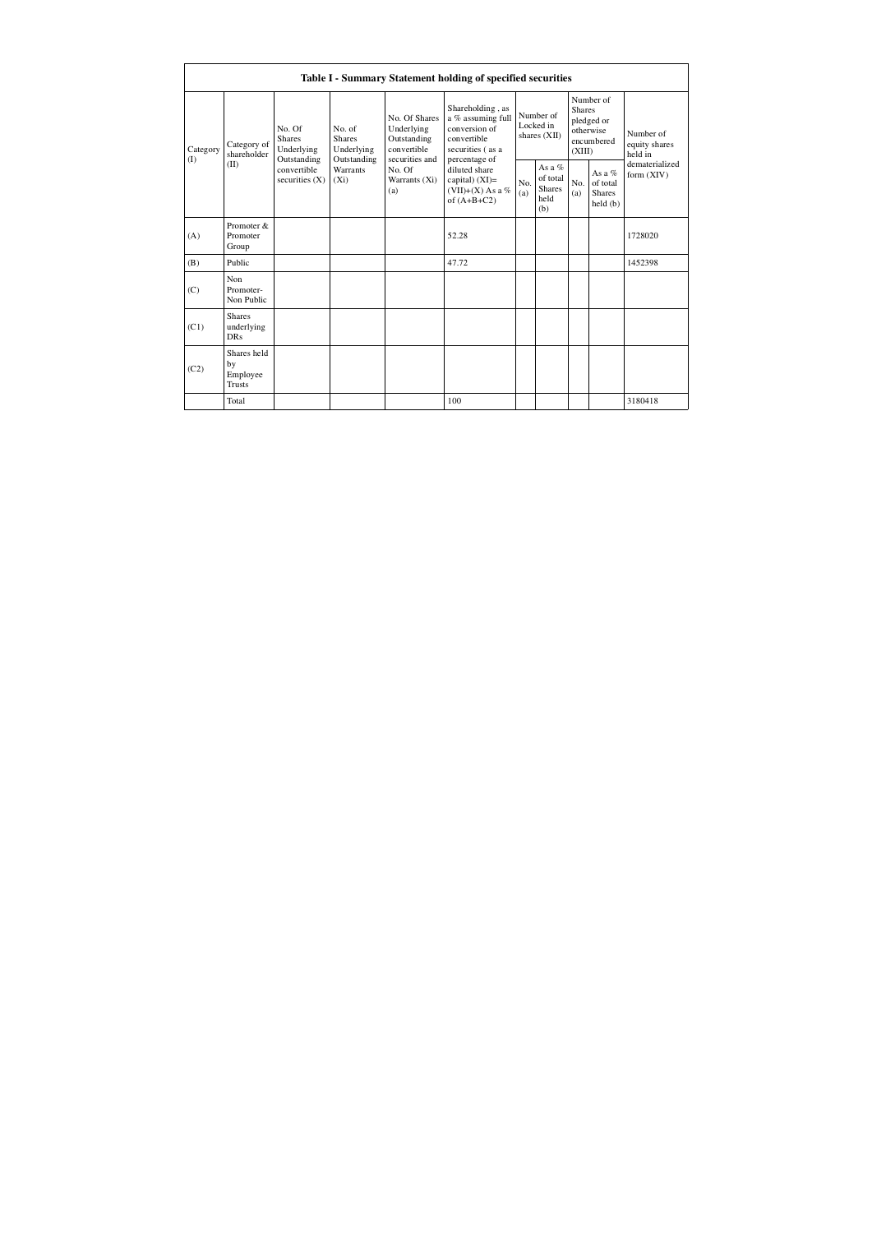|                           |                                                |                                                           |                                                      |                                                                             | Table I - Summary Statement holding of specified securities                                                |                                          |                                                    |                                                                               |                                                  |                                       |
|---------------------------|------------------------------------------------|-----------------------------------------------------------|------------------------------------------------------|-----------------------------------------------------------------------------|------------------------------------------------------------------------------------------------------------|------------------------------------------|----------------------------------------------------|-------------------------------------------------------------------------------|--------------------------------------------------|---------------------------------------|
| Category<br>$($ I<br>(II) | Category of<br>shareholder                     | No. Of<br><b>Shares</b><br>Underlying                     | No. of<br><b>Shares</b><br>Underlying<br>Outstanding | No. Of Shares<br>Underlying<br>Outstanding<br>convertible<br>securities and | Shareholding, as<br>a % assuming full<br>conversion of<br>convertible<br>securities (as a<br>percentage of | Number of<br>Locked in<br>shares $(XII)$ |                                                    | Number of<br><b>Shares</b><br>pledged or<br>otherwise<br>encumbered<br>(XIII) |                                                  | Number of<br>equity shares<br>held in |
|                           |                                                | Outstanding<br>convertible<br>securities $(X)$<br>$(X_i)$ | Warrants<br>No. Of<br>Warrants (Xi)<br>(a)           |                                                                             | diluted share<br>capital) $(XI)$ =<br>$(VII)+(X)$ As a %<br>of $(A+B+C2)$                                  | No.<br>(a)                               | As a %<br>of total<br><b>Shares</b><br>held<br>(b) | No.<br>(a)                                                                    | As a $%$<br>of total<br><b>Shares</b><br>held(b) | dematerialized<br>form $(XIV)$        |
| (A)                       | Promoter &<br>Promoter<br>Group                |                                                           |                                                      |                                                                             | 52.28                                                                                                      |                                          |                                                    |                                                                               |                                                  | 1728020                               |
| (B)                       | Public                                         |                                                           |                                                      |                                                                             | 47.72                                                                                                      |                                          |                                                    |                                                                               |                                                  | 1452398                               |
| (C)                       | Non.<br>Promoter-<br>Non Public                |                                                           |                                                      |                                                                             |                                                                                                            |                                          |                                                    |                                                                               |                                                  |                                       |
| (C1)                      | <b>Shares</b><br>underlying<br>DR <sub>s</sub> |                                                           |                                                      |                                                                             |                                                                                                            |                                          |                                                    |                                                                               |                                                  |                                       |
| (C2)                      | Shares held<br>by<br>Employee<br><b>Trusts</b> |                                                           |                                                      |                                                                             |                                                                                                            |                                          |                                                    |                                                                               |                                                  |                                       |
|                           | Total                                          |                                                           |                                                      |                                                                             | 100                                                                                                        |                                          |                                                    |                                                                               |                                                  | 3180418                               |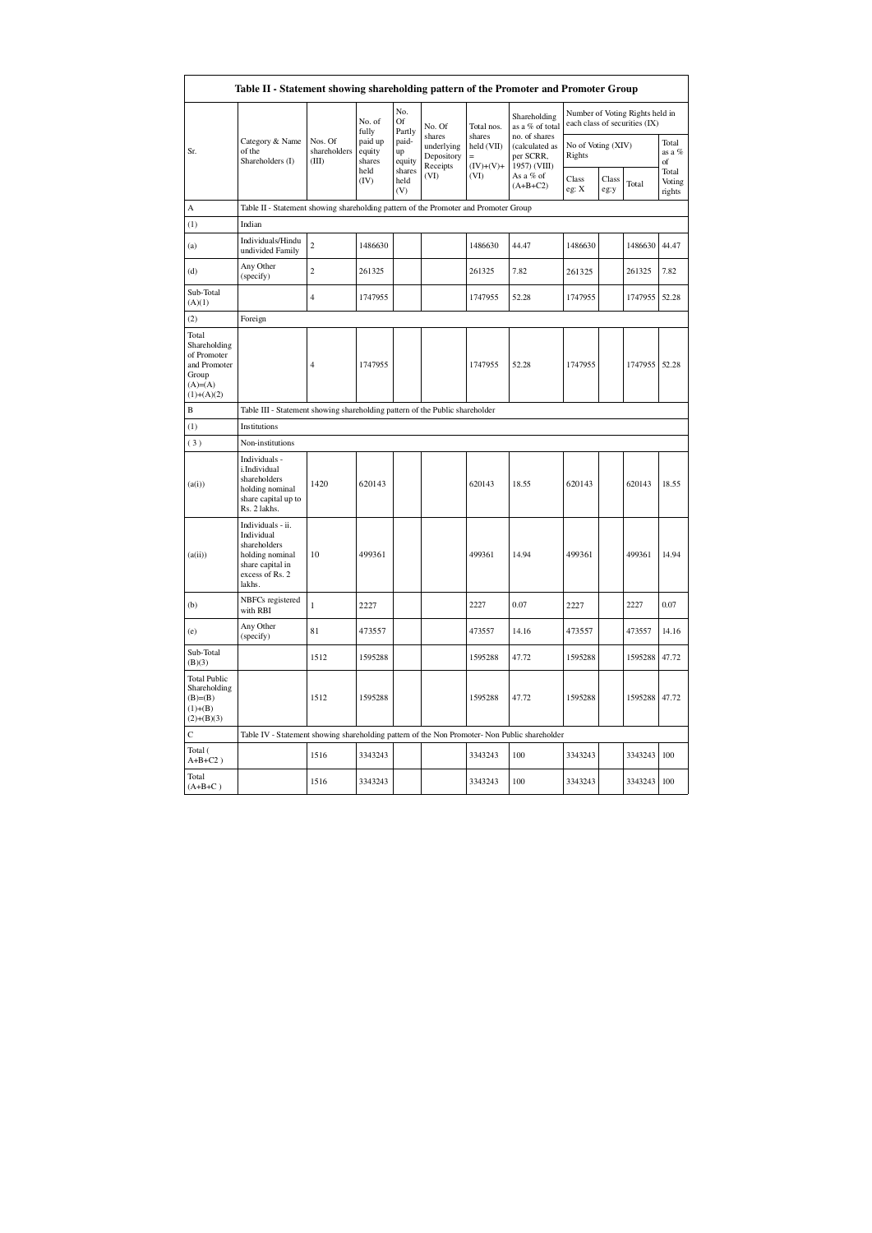| Table II - Statement showing shareholding pattern of the Promoter and Promoter Group        |                                                                                                                     |                                                                                      |                             |                       |                                                |                                     |                                                              |                                                                  |               |                       |                           |  |
|---------------------------------------------------------------------------------------------|---------------------------------------------------------------------------------------------------------------------|--------------------------------------------------------------------------------------|-----------------------------|-----------------------|------------------------------------------------|-------------------------------------|--------------------------------------------------------------|------------------------------------------------------------------|---------------|-----------------------|---------------------------|--|
|                                                                                             |                                                                                                                     |                                                                                      | No. of<br>fully             | No.<br>Of<br>Partly   | No. Of                                         | Total nos.                          | Shareholding<br>as a % of total                              | Number of Voting Rights held in<br>each class of securities (IX) |               |                       |                           |  |
| Sr.                                                                                         | Category & Name<br>of the<br>Shareholders (I)                                                                       | Nos. Of<br>shareholders<br>(III)                                                     | paid up<br>equity<br>shares | paid-<br>up<br>equity | shares<br>underlying<br>Depository<br>Receipts | shares<br>held (VII)<br>$(IV)+(V)+$ | no. of shares<br>(calculated as<br>per SCRR,<br>1957) (VIII) | No of Voting (XIV)<br>Rights                                     |               | Total<br>as a %<br>of |                           |  |
|                                                                                             |                                                                                                                     |                                                                                      | held<br>(IV)                | shares<br>held<br>(V) | (VI)                                           | (VI)                                | As a % of<br>$(A+B+C2)$                                      | Class<br>eg: X                                                   | Class<br>eg:y | Total                 | Total<br>Voting<br>rights |  |
| A                                                                                           |                                                                                                                     | Table II - Statement showing shareholding pattern of the Promoter and Promoter Group |                             |                       |                                                |                                     |                                                              |                                                                  |               |                       |                           |  |
| (1)                                                                                         | Indian                                                                                                              |                                                                                      |                             |                       |                                                |                                     |                                                              |                                                                  |               |                       |                           |  |
| (a)                                                                                         | Individuals/Hindu<br>undivided Family                                                                               | $\overline{c}$                                                                       | 1486630                     |                       |                                                | 1486630                             | 44.47                                                        | 1486630                                                          |               | 1486630               | 44.47                     |  |
| (d)                                                                                         | Any Other<br>(specify)                                                                                              | $\overline{c}$                                                                       | 261325                      |                       |                                                | 261325                              | 7.82                                                         | 261325                                                           |               | 261325                | 7.82                      |  |
| Sub-Total<br>(A)(1)                                                                         |                                                                                                                     | $\overline{4}$                                                                       | 1747955                     |                       |                                                | 1747955                             | 52.28                                                        | 1747955                                                          |               | 1747955               | 52.28                     |  |
| (2)                                                                                         | Foreign                                                                                                             |                                                                                      |                             |                       |                                                |                                     |                                                              |                                                                  |               |                       |                           |  |
| Total<br>Shareholding<br>of Promoter<br>and Promoter<br>Group<br>$(A)= (A)$<br>$(1)+(A)(2)$ |                                                                                                                     | $\overline{4}$                                                                       | 1747955                     |                       |                                                | 1747955                             | 52.28                                                        | 1747955                                                          |               | 1747955               | 52.28                     |  |
| B                                                                                           |                                                                                                                     | Table III - Statement showing shareholding pattern of the Public shareholder         |                             |                       |                                                |                                     |                                                              |                                                                  |               |                       |                           |  |
| (1)                                                                                         | Institutions                                                                                                        |                                                                                      |                             |                       |                                                |                                     |                                                              |                                                                  |               |                       |                           |  |
| (3)                                                                                         | Non-institutions                                                                                                    |                                                                                      |                             |                       |                                                |                                     |                                                              |                                                                  |               |                       |                           |  |
| (a(i))                                                                                      | Individuals -<br>i.Individual<br>shareholders<br>holding nominal<br>share capital up to<br>Rs. 2 lakhs.             | 1420                                                                                 | 620143                      |                       |                                                | 620143                              | 18.55                                                        | 620143                                                           |               | 620143                | 18.55                     |  |
| (a(ii))                                                                                     | Individuals - ii.<br>Individual<br>shareholders<br>holding nominal<br>share capital in<br>excess of Rs. 2<br>lakhs. | 10                                                                                   | 499361                      |                       |                                                | 499361                              | 14.94                                                        | 499361                                                           |               | 499361                | 14.94                     |  |
| (b)                                                                                         | NBFCs registered<br>with RBI                                                                                        | $\mathbf{1}$                                                                         | 2227                        |                       |                                                | 2227                                | 0.07                                                         | 2227                                                             |               | 2227                  | 0.07                      |  |
| (e)                                                                                         | Any Other<br>(specify)                                                                                              | 81                                                                                   | 473557                      |                       |                                                | 473557                              | 14.16                                                        | 473557                                                           |               | 473557                | 14.16                     |  |
| Sub-Total<br>(B)(3)                                                                         |                                                                                                                     | 1512                                                                                 | 1595288                     |                       |                                                | 1595288                             | 47.72                                                        | 1595288                                                          |               | 1595288               | 47.72                     |  |
| <b>Total Public</b><br>Shareholding<br>$(B)=B)$<br>$(1)+(B)$<br>$(2)+(B)(3)$                |                                                                                                                     | 1512                                                                                 | 1595288                     |                       |                                                | 1595288                             | 47.72                                                        | 1595288                                                          |               | 1595288               | 47.72                     |  |
| С                                                                                           | Table IV - Statement showing shareholding pattern of the Non Promoter- Non Public shareholder                       |                                                                                      |                             |                       |                                                |                                     |                                                              |                                                                  |               |                       |                           |  |
| Total (<br>$A+B+C2$ )                                                                       |                                                                                                                     | 1516                                                                                 | 3343243                     |                       |                                                | 3343243                             | 100                                                          | 3343243                                                          |               | 3343243               | 100                       |  |
| Total<br>$(A+B+C)$                                                                          |                                                                                                                     | 1516                                                                                 | 3343243                     |                       |                                                | 3343243                             | 100                                                          | 3343243                                                          |               | 3343243               | 100                       |  |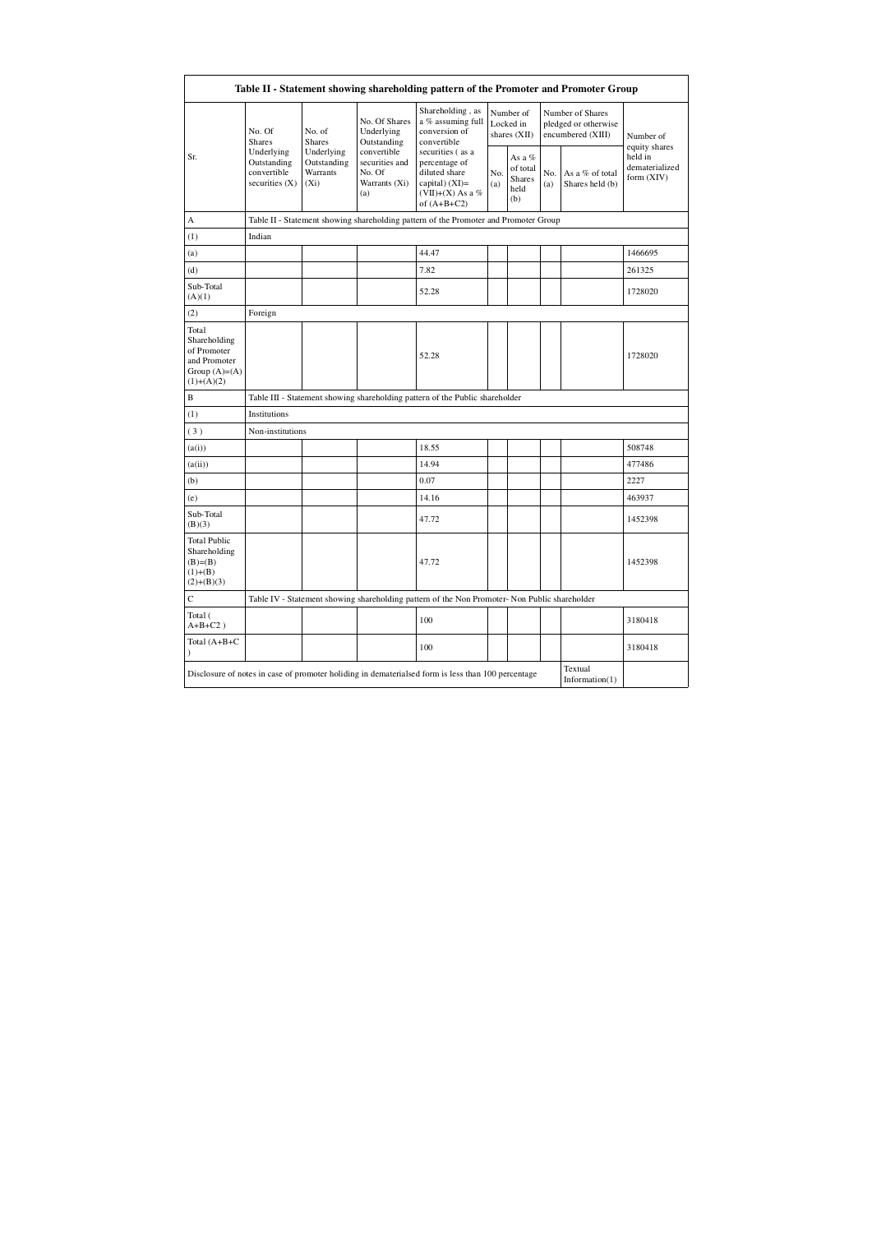| Table II - Statement showing shareholding pattern of the Promoter and Promoter Group    |                                                                                                                                                                        |                                                                 |                                                                                                                |                                                                                                    |                                                    |            |                                                               |                                         |                            |
|-----------------------------------------------------------------------------------------|------------------------------------------------------------------------------------------------------------------------------------------------------------------------|-----------------------------------------------------------------|----------------------------------------------------------------------------------------------------------------|----------------------------------------------------------------------------------------------------|----------------------------------------------------|------------|---------------------------------------------------------------|-----------------------------------------|----------------------------|
|                                                                                         | No. Of<br>No. of<br><b>Shares</b><br><b>Shares</b><br>Underlying<br>Underlying<br>Outstanding<br>Outstanding<br>convertible<br>Warrants<br>securities $(X)$<br>$(X_i)$ |                                                                 | No. Of Shares<br>Underlying<br>Outstanding                                                                     | Shareholding, as<br>a % assuming full<br>conversion of<br>convertible                              | Number of<br>Locked in<br>shares (XII)             |            | Number of Shares<br>pledged or otherwise<br>encumbered (XIII) |                                         | Number of<br>equity shares |
| Sr.                                                                                     |                                                                                                                                                                        | convertible<br>securities and<br>No. Of<br>Warrants (Xi)<br>(a) | securities (as a<br>percentage of<br>diluted share<br>capital) $(XI)$ =<br>$(VII)+(X)$ As a %<br>of $(A+B+C2)$ | No.<br>(a)                                                                                         | As a %<br>of total<br><b>Shares</b><br>held<br>(b) | No.<br>(a) | As a % of total<br>Shares held (b)                            | held in<br>dematerialized<br>form (XIV) |                            |
| А                                                                                       |                                                                                                                                                                        |                                                                 |                                                                                                                | Table II - Statement showing shareholding pattern of the Promoter and Promoter Group               |                                                    |            |                                                               |                                         |                            |
| (1)                                                                                     | Indian                                                                                                                                                                 |                                                                 |                                                                                                                |                                                                                                    |                                                    |            |                                                               |                                         |                            |
| (a)                                                                                     |                                                                                                                                                                        |                                                                 |                                                                                                                | 44.47                                                                                              |                                                    |            |                                                               |                                         | 1466695                    |
| (d)                                                                                     |                                                                                                                                                                        |                                                                 |                                                                                                                | 7.82                                                                                               |                                                    |            |                                                               |                                         | 261325                     |
| Sub-Total<br>(A)(1)                                                                     |                                                                                                                                                                        |                                                                 |                                                                                                                | 52.28                                                                                              |                                                    |            |                                                               |                                         | 1728020                    |
| (2)                                                                                     | Foreign                                                                                                                                                                |                                                                 |                                                                                                                |                                                                                                    |                                                    |            |                                                               |                                         |                            |
| Total<br>Shareholding<br>of Promoter<br>and Promoter<br>Group $(A)=(A)$<br>$(1)+(A)(2)$ |                                                                                                                                                                        |                                                                 |                                                                                                                | 52.28                                                                                              |                                                    |            |                                                               |                                         | 1728020                    |
| $\, {\bf B}$                                                                            |                                                                                                                                                                        |                                                                 |                                                                                                                | Table III - Statement showing shareholding pattern of the Public shareholder                       |                                                    |            |                                                               |                                         |                            |
| (1)                                                                                     | Institutions                                                                                                                                                           |                                                                 |                                                                                                                |                                                                                                    |                                                    |            |                                                               |                                         |                            |
| (3)                                                                                     | Non-institutions                                                                                                                                                       |                                                                 |                                                                                                                |                                                                                                    |                                                    |            |                                                               |                                         |                            |
| (a(i))                                                                                  |                                                                                                                                                                        |                                                                 |                                                                                                                | 18.55                                                                                              |                                                    |            |                                                               |                                         | 508748                     |
| (a(ii))                                                                                 |                                                                                                                                                                        |                                                                 |                                                                                                                | 14.94                                                                                              |                                                    |            |                                                               |                                         | 477486                     |
| (b)                                                                                     |                                                                                                                                                                        |                                                                 |                                                                                                                | 0.07                                                                                               |                                                    |            |                                                               |                                         | 2227                       |
| (e)                                                                                     |                                                                                                                                                                        |                                                                 |                                                                                                                | 14.16                                                                                              |                                                    |            |                                                               |                                         | 463937                     |
| Sub-Total<br>(B)(3)                                                                     |                                                                                                                                                                        |                                                                 |                                                                                                                | 47.72                                                                                              |                                                    |            |                                                               |                                         | 1452398                    |
| <b>Total Public</b><br>Shareholding<br>$(B)=B)$<br>$(1)+(B)$<br>$(2)+(B)(3)$            |                                                                                                                                                                        |                                                                 |                                                                                                                | 47.72                                                                                              |                                                    |            |                                                               |                                         | 1452398                    |
| C                                                                                       |                                                                                                                                                                        |                                                                 |                                                                                                                | Table IV - Statement showing shareholding pattern of the Non Promoter-Non Public shareholder       |                                                    |            |                                                               |                                         |                            |
| Total (<br>$A+B+C2$ )                                                                   |                                                                                                                                                                        |                                                                 |                                                                                                                | 100                                                                                                |                                                    |            |                                                               |                                         | 3180418                    |
| Total (A+B+C                                                                            |                                                                                                                                                                        |                                                                 |                                                                                                                | 100                                                                                                |                                                    |            |                                                               |                                         | 3180418                    |
|                                                                                         |                                                                                                                                                                        |                                                                 |                                                                                                                | Disclosure of notes in case of promoter holiding in dematerialsed form is less than 100 percentage |                                                    |            |                                                               | Textual<br>Information(1)               |                            |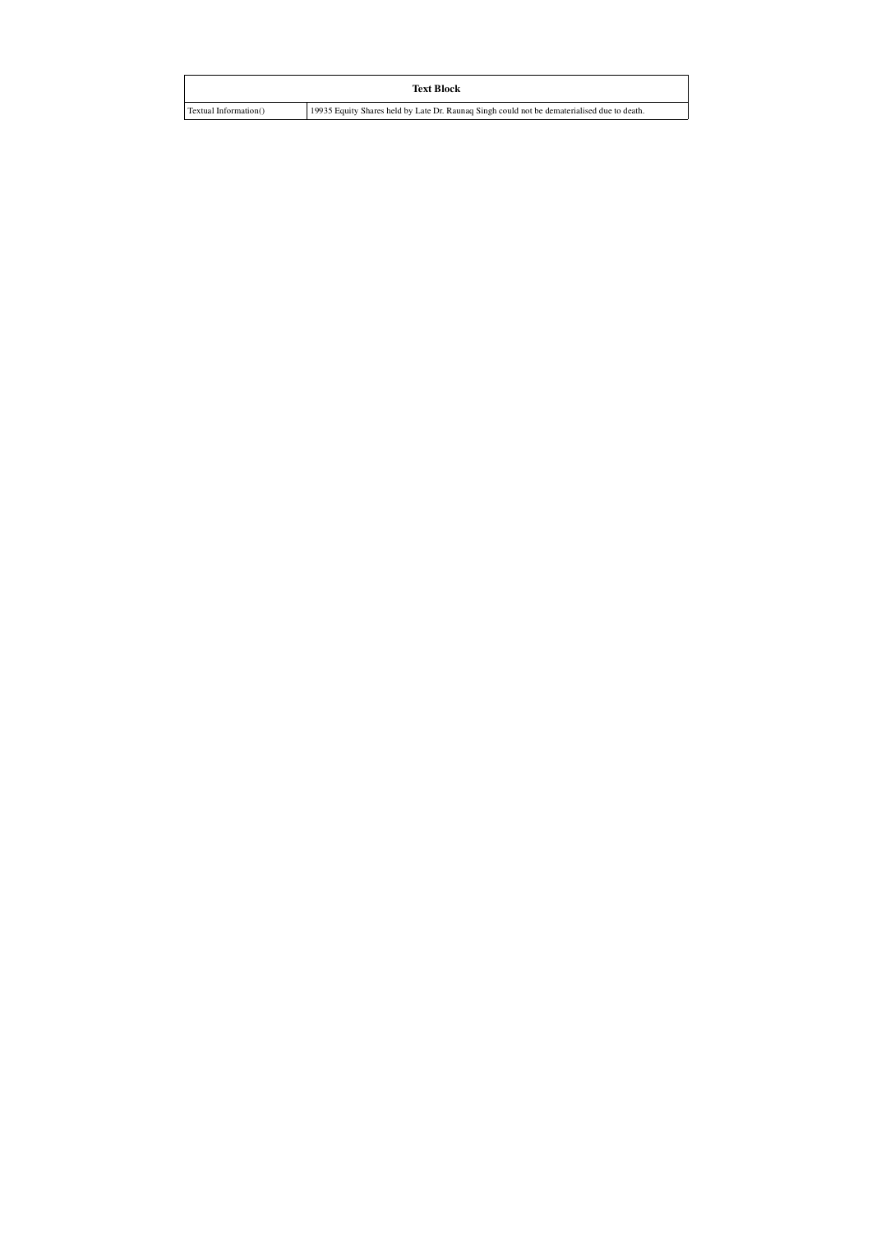| <b>Text Block</b>                                                                           |  |  |  |  |  |  |  |
|---------------------------------------------------------------------------------------------|--|--|--|--|--|--|--|
| 19935 Equity Shares held by Late Dr. Raunaq Singh could not be dematerialised due to death. |  |  |  |  |  |  |  |
|                                                                                             |  |  |  |  |  |  |  |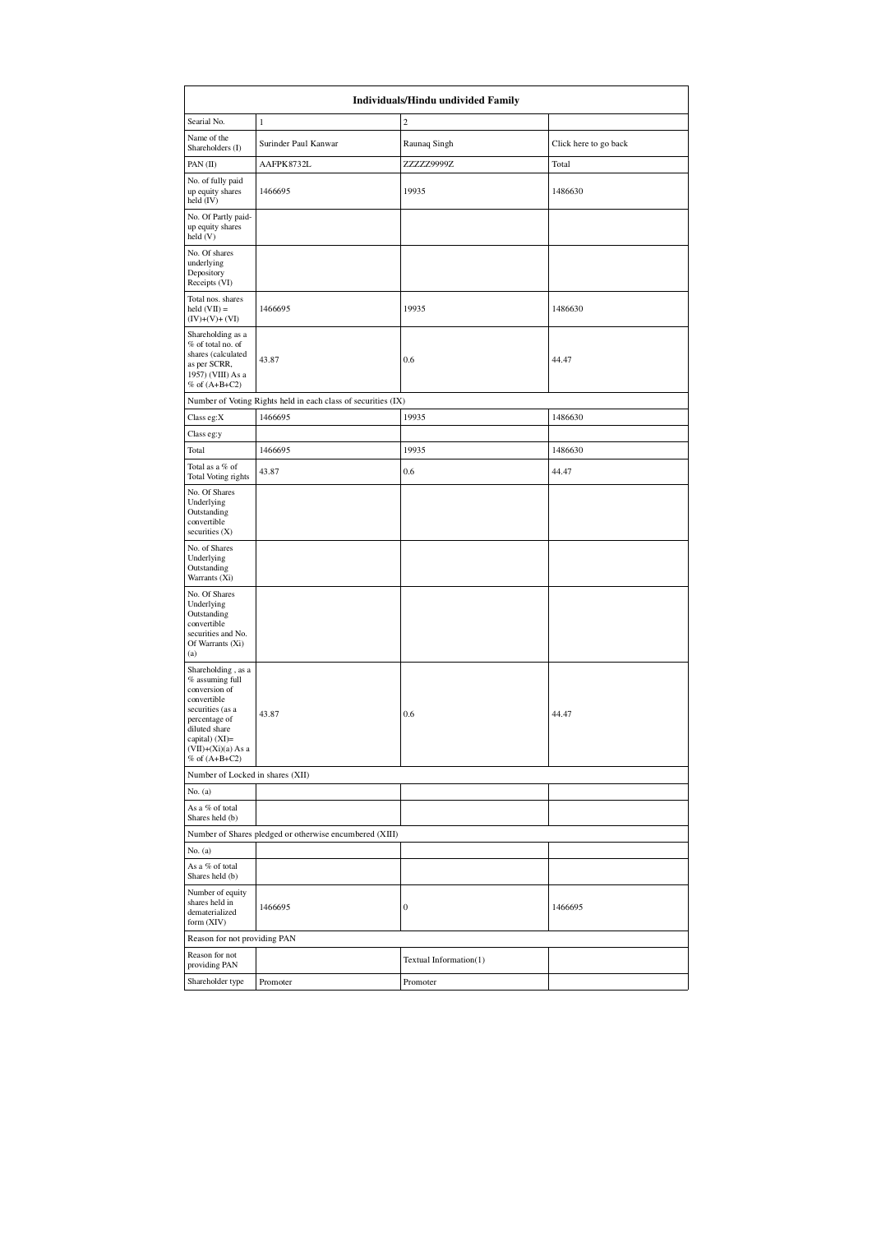|                                                                                                                                                                                          | Individuals/Hindu undivided Family                            |                        |                       |  |  |  |  |  |  |
|------------------------------------------------------------------------------------------------------------------------------------------------------------------------------------------|---------------------------------------------------------------|------------------------|-----------------------|--|--|--|--|--|--|
| Searial No.                                                                                                                                                                              | $\mathbf{1}$                                                  | $\overline{c}$         |                       |  |  |  |  |  |  |
| Name of the<br>Shareholders (I)                                                                                                                                                          | Surinder Paul Kanwar                                          | Raunaq Singh           | Click here to go back |  |  |  |  |  |  |
| PAN (II)                                                                                                                                                                                 | AAFPK8732L                                                    | ZZZZZ9999Z             | Total                 |  |  |  |  |  |  |
| No. of fully paid<br>up equity shares<br>held (IV)                                                                                                                                       | 1466695                                                       | 19935                  | 1486630               |  |  |  |  |  |  |
| No. Of Partly paid-<br>up equity shares<br>held(V)                                                                                                                                       |                                                               |                        |                       |  |  |  |  |  |  |
| No. Of shares<br>underlying<br>Depository<br>Receipts (VI)                                                                                                                               |                                                               |                        |                       |  |  |  |  |  |  |
| Total nos. shares<br>$held (VII) =$<br>$(IV)+(V)+(VI)$                                                                                                                                   | 1466695                                                       | 19935                  | 1486630               |  |  |  |  |  |  |
| Shareholding as a<br>% of total no. of<br>shares (calculated<br>as per SCRR,<br>1957) (VIII) As a<br>$%$ of $(A+B+C2)$                                                                   | 43.87                                                         | $0.6\,$                | 44.47                 |  |  |  |  |  |  |
|                                                                                                                                                                                          | Number of Voting Rights held in each class of securities (IX) |                        |                       |  |  |  |  |  |  |
| Class eg:X                                                                                                                                                                               | 1466695                                                       | 19935                  | 1486630               |  |  |  |  |  |  |
| Class eg:y                                                                                                                                                                               |                                                               |                        |                       |  |  |  |  |  |  |
| Total                                                                                                                                                                                    | 1466695                                                       | 19935                  | 1486630               |  |  |  |  |  |  |
| Total as a % of<br>Total Voting rights                                                                                                                                                   | 43.87                                                         | 0.6                    | 44.47                 |  |  |  |  |  |  |
| No. Of Shares<br>Underlying<br>Outstanding<br>convertible<br>securities $(X)$                                                                                                            |                                                               |                        |                       |  |  |  |  |  |  |
| No. of Shares<br>Underlying<br>Outstanding<br>Warrants (Xi)                                                                                                                              |                                                               |                        |                       |  |  |  |  |  |  |
| No. Of Shares<br>Underlying<br>Outstanding<br>convertible<br>securities and No.<br>Of Warrants (Xi)<br>(a)                                                                               |                                                               |                        |                       |  |  |  |  |  |  |
| Shareholding, as a<br>% assuming full<br>conversion of<br>convertible<br>securities (as a<br>percentage of<br>diluted share<br>capital) (XI)=<br>$(VII)+(Xi)(a) As a$<br>% of $(A+B+C2)$ | 43.87                                                         | 0.6                    | 44.47                 |  |  |  |  |  |  |
| Number of Locked in shares (XII)                                                                                                                                                         |                                                               |                        |                       |  |  |  |  |  |  |
| No. (a)<br>As a % of total                                                                                                                                                               |                                                               |                        |                       |  |  |  |  |  |  |
| Shares held (b)                                                                                                                                                                          |                                                               |                        |                       |  |  |  |  |  |  |
|                                                                                                                                                                                          | Number of Shares pledged or otherwise encumbered (XIII)       |                        |                       |  |  |  |  |  |  |
| No. (a)<br>As a % of total                                                                                                                                                               |                                                               |                        |                       |  |  |  |  |  |  |
| Shares held (b)<br>Number of equity<br>shares held in<br>dematerialized<br>form (XIV)                                                                                                    | 1466695                                                       | $\boldsymbol{0}$       | 1466695               |  |  |  |  |  |  |
| Reason for not providing PAN                                                                                                                                                             |                                                               |                        |                       |  |  |  |  |  |  |
| Reason for not<br>providing PAN                                                                                                                                                          |                                                               | Textual Information(1) |                       |  |  |  |  |  |  |
| Shareholder type                                                                                                                                                                         | Promoter                                                      | Promoter               |                       |  |  |  |  |  |  |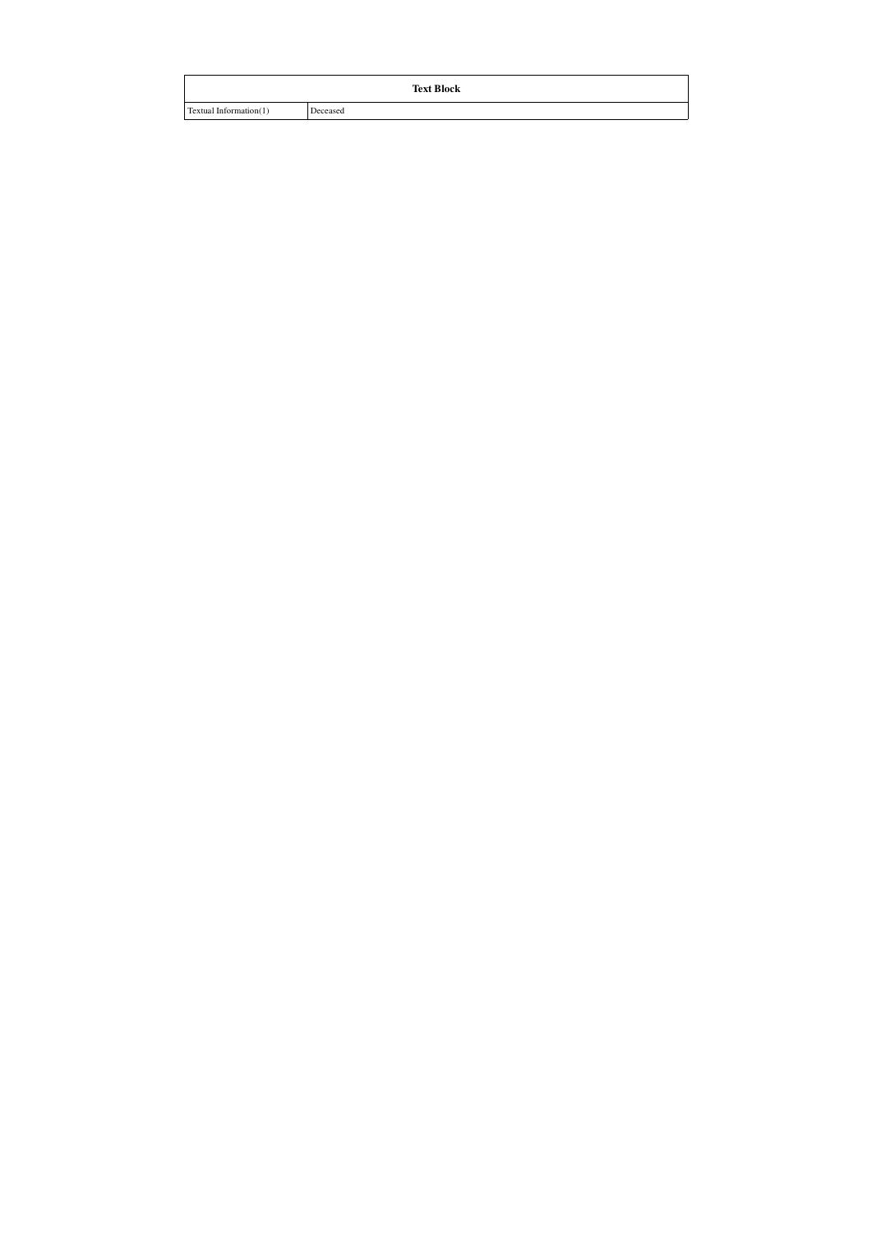|                        | <b>Text Block</b> |
|------------------------|-------------------|
| Textual Information(1) | Deceased          |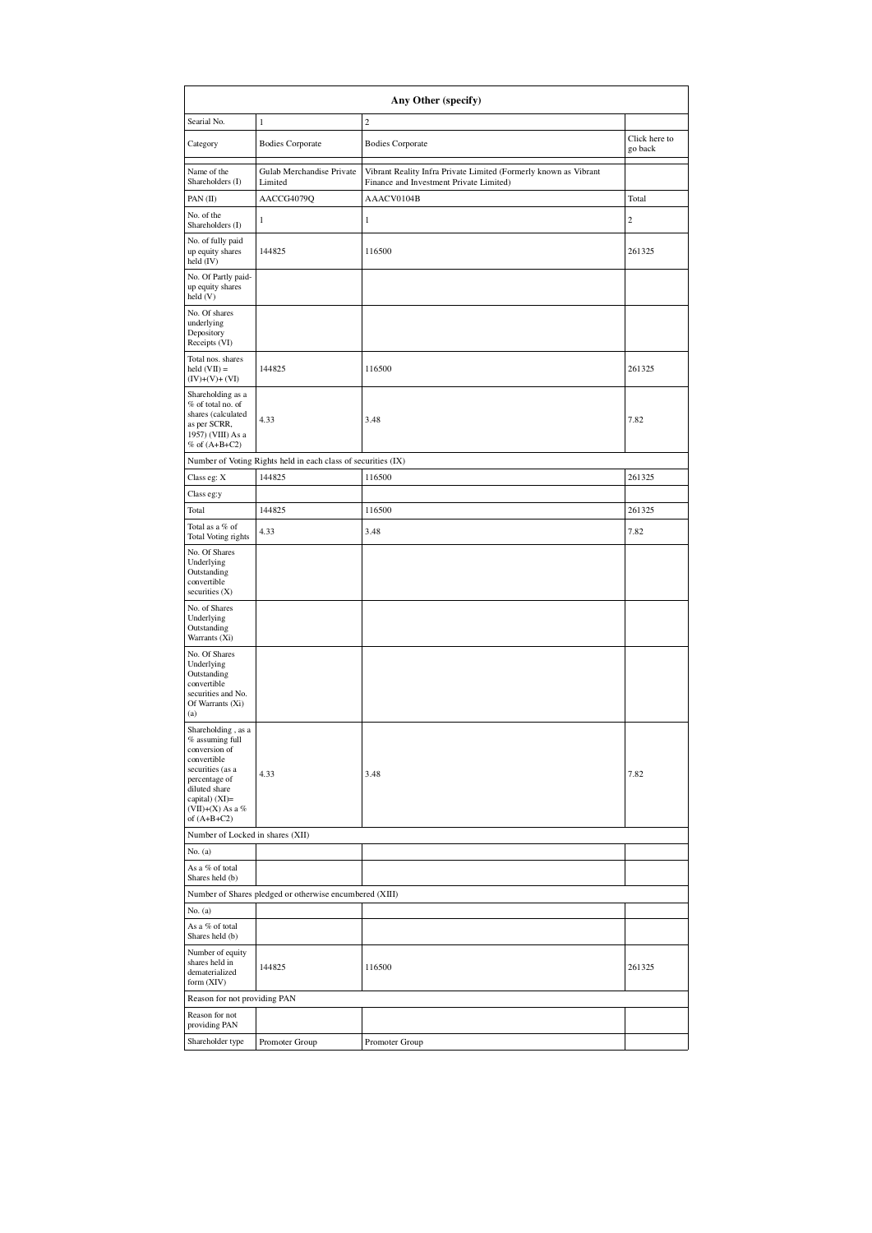|                                                                                                                               | Any Other (specify)                                           |                                                                                                             |                          |  |  |  |  |  |
|-------------------------------------------------------------------------------------------------------------------------------|---------------------------------------------------------------|-------------------------------------------------------------------------------------------------------------|--------------------------|--|--|--|--|--|
| Searial No.                                                                                                                   | $\,1$                                                         | $\overline{c}$                                                                                              |                          |  |  |  |  |  |
| Category                                                                                                                      | <b>Bodies Corporate</b>                                       | <b>Bodies Corporate</b>                                                                                     | Click here to<br>go back |  |  |  |  |  |
| Name of the<br>Shareholders (I)                                                                                               | Gulab Merchandise Private<br>Limited                          | Vibrant Reality Infra Private Limited (Formerly known as Vibrant<br>Finance and Investment Private Limited) |                          |  |  |  |  |  |
| PAN (II)                                                                                                                      | AACCG4079Q                                                    | AAACV0104B                                                                                                  | Total                    |  |  |  |  |  |
| No. of the<br>Shareholders (I)                                                                                                | 1                                                             | $\mathbf{1}$                                                                                                | $\boldsymbol{2}$         |  |  |  |  |  |
| No. of fully paid<br>up equity shares<br>held $(IV)$                                                                          | 144825                                                        | 116500                                                                                                      | 261325                   |  |  |  |  |  |
| No. Of Partly paid-<br>up equity shares<br>held (V)                                                                           |                                                               |                                                                                                             |                          |  |  |  |  |  |
| No. Of shares<br>underlying<br>Depository<br>Receipts (VI)                                                                    |                                                               |                                                                                                             |                          |  |  |  |  |  |
| Total nos. shares<br>held $(VII) =$<br>$(IV)+(V)+(VI)$                                                                        | 144825                                                        | 116500                                                                                                      | 261325                   |  |  |  |  |  |
| Shareholding as a<br>% of total no. of<br>shares (calculated<br>as per SCRR,<br>1957) (VIII) As a<br>% of $(A+B+C2)$          | 4.33                                                          | 3.48                                                                                                        | 7.82                     |  |  |  |  |  |
|                                                                                                                               | Number of Voting Rights held in each class of securities (IX) |                                                                                                             |                          |  |  |  |  |  |
| Class eg: X                                                                                                                   | 144825                                                        | 116500                                                                                                      | 261325                   |  |  |  |  |  |
| Class eg:y                                                                                                                    |                                                               |                                                                                                             |                          |  |  |  |  |  |
| Total                                                                                                                         | 144825                                                        | 116500                                                                                                      | 261325                   |  |  |  |  |  |
| Total as a % of<br>Total Voting rights                                                                                        | 4.33                                                          | 3.48                                                                                                        | 7.82                     |  |  |  |  |  |
| No. Of Shares<br>Underlying<br>Outstanding<br>convertible<br>securities (X)                                                   |                                                               |                                                                                                             |                          |  |  |  |  |  |
| No. of Shares<br>Underlying<br>Outstanding<br>Warrants (Xi)                                                                   |                                                               |                                                                                                             |                          |  |  |  |  |  |
| No. Of Shares<br>Underlying<br>Outstanding<br>convertible<br>securities and No.<br>Of Warrants (Xi)<br>(a)                    |                                                               |                                                                                                             |                          |  |  |  |  |  |
| Shareholding, as a<br>$%$ assuming full<br>conversion of<br>convertible<br>securities (as a<br>percentage of<br>diluted share | 4.33                                                          | 3.48                                                                                                        | 7.82                     |  |  |  |  |  |
| capital) $(XI)=$<br>$(VII)+(X)$ As a %<br>of $(A+B+C2)$                                                                       |                                                               |                                                                                                             |                          |  |  |  |  |  |
| Number of Locked in shares (XII)                                                                                              |                                                               |                                                                                                             |                          |  |  |  |  |  |
| No. (a)                                                                                                                       |                                                               |                                                                                                             |                          |  |  |  |  |  |
| As a % of total<br>Shares held (b)                                                                                            |                                                               |                                                                                                             |                          |  |  |  |  |  |
|                                                                                                                               | Number of Shares pledged or otherwise encumbered (XIII)       |                                                                                                             |                          |  |  |  |  |  |
| No. $(a)$                                                                                                                     |                                                               |                                                                                                             |                          |  |  |  |  |  |
| As a % of total<br>Shares held (b)                                                                                            |                                                               |                                                                                                             |                          |  |  |  |  |  |
| Number of equity<br>shares held in<br>dematerialized<br>form (XIV)                                                            | 144825                                                        | 116500                                                                                                      | 261325                   |  |  |  |  |  |
| Reason for not providing PAN                                                                                                  |                                                               |                                                                                                             |                          |  |  |  |  |  |
| Reason for not<br>providing PAN                                                                                               |                                                               |                                                                                                             |                          |  |  |  |  |  |
| Shareholder type                                                                                                              | Promoter Group                                                | Promoter Group                                                                                              |                          |  |  |  |  |  |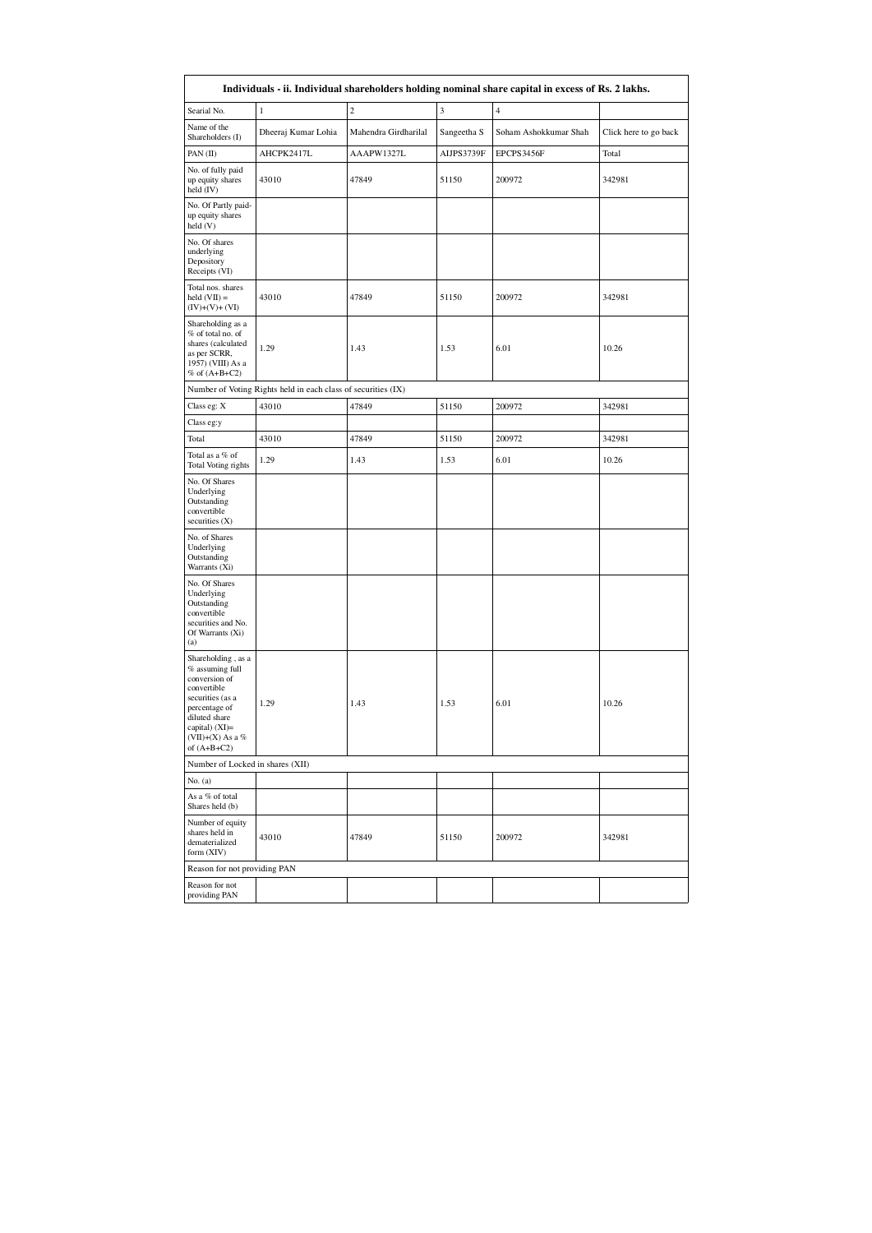|                                                                                                                                                                                      |                                                               |                      |             | Individuals - ii. Individual shareholders holding nominal share capital in excess of Rs. 2 lakhs. |                       |
|--------------------------------------------------------------------------------------------------------------------------------------------------------------------------------------|---------------------------------------------------------------|----------------------|-------------|---------------------------------------------------------------------------------------------------|-----------------------|
| Searial No.                                                                                                                                                                          | 1                                                             | $\overline{c}$       | 3           | $\overline{4}$                                                                                    |                       |
| Name of the<br>Shareholders (I)                                                                                                                                                      | Dheeraj Kumar Lohia                                           | Mahendra Girdharilal | Sangeetha S | Soham Ashokkumar Shah                                                                             | Click here to go back |
| PAN (II)                                                                                                                                                                             | AHCPK2417L                                                    | AAAPW1327L           | AIJPS3739F  | EPCPS3456F                                                                                        | Total                 |
| No. of fully paid<br>up equity shares<br>held (IV)                                                                                                                                   | 43010                                                         | 47849                | 51150       | 200972                                                                                            | 342981                |
| No. Of Partly paid-<br>up equity shares<br>held (V)                                                                                                                                  |                                                               |                      |             |                                                                                                   |                       |
| No. Of shares<br>underlying<br>Depository<br>Receipts (VI)                                                                                                                           |                                                               |                      |             |                                                                                                   |                       |
| Total nos. shares<br>held $(VII) =$<br>$(IV)+(V)+(VI)$                                                                                                                               | 43010                                                         | 47849                | 51150       | 200972                                                                                            | 342981                |
| Shareholding as a<br>% of total no. of<br>shares (calculated<br>as per SCRR,<br>1957) (VIII) As a<br>$% of (A+B+C2)$                                                                 | 1.29                                                          | 1.43                 | 1.53        | 6.01                                                                                              | 10.26                 |
|                                                                                                                                                                                      | Number of Voting Rights held in each class of securities (IX) |                      |             |                                                                                                   |                       |
| Class eg: X                                                                                                                                                                          | 43010                                                         | 47849                | 51150       | 200972                                                                                            | 342981                |
| Class eg:y                                                                                                                                                                           |                                                               |                      |             |                                                                                                   |                       |
| Total                                                                                                                                                                                | 43010                                                         | 47849                | 51150       | 200972                                                                                            | 342981                |
| Total as a % of<br>Total Voting rights                                                                                                                                               | 1.29                                                          | 1.43                 | 1.53        | 6.01                                                                                              | 10.26                 |
| No. Of Shares<br>Underlying<br>Outstanding<br>convertible<br>securities (X)                                                                                                          |                                                               |                      |             |                                                                                                   |                       |
| No. of Shares<br>Underlying<br>Outstanding<br>Warrants (Xi)                                                                                                                          |                                                               |                      |             |                                                                                                   |                       |
| No. Of Shares<br>Underlying<br>Outstanding<br>convertible<br>securities and No.<br>Of Warrants (Xi)<br>(a)                                                                           |                                                               |                      |             |                                                                                                   |                       |
| Shareholding, as a<br>% assuming full<br>conversion of<br>convertible<br>securities (as a<br>percentage of<br>diluted share<br>capital) $(XI)=$<br>(VII)+(X) As a %<br>of $(A+B+C2)$ | 1.29                                                          | 1.43                 | 1.53        | 6.01                                                                                              | 10.26                 |
| Number of Locked in shares (XII)                                                                                                                                                     |                                                               |                      |             |                                                                                                   |                       |
| No. $(a)$                                                                                                                                                                            |                                                               |                      |             |                                                                                                   |                       |
| As a % of total<br>Shares held (b)                                                                                                                                                   |                                                               |                      |             |                                                                                                   |                       |
| Number of equity<br>shares held in<br>dematerialized<br>form (XIV)                                                                                                                   | 43010                                                         | 47849                | 51150       | 200972                                                                                            | 342981                |
| Reason for not providing PAN                                                                                                                                                         |                                                               |                      |             |                                                                                                   |                       |
| Reason for not<br>providing PAN                                                                                                                                                      |                                                               |                      |             |                                                                                                   |                       |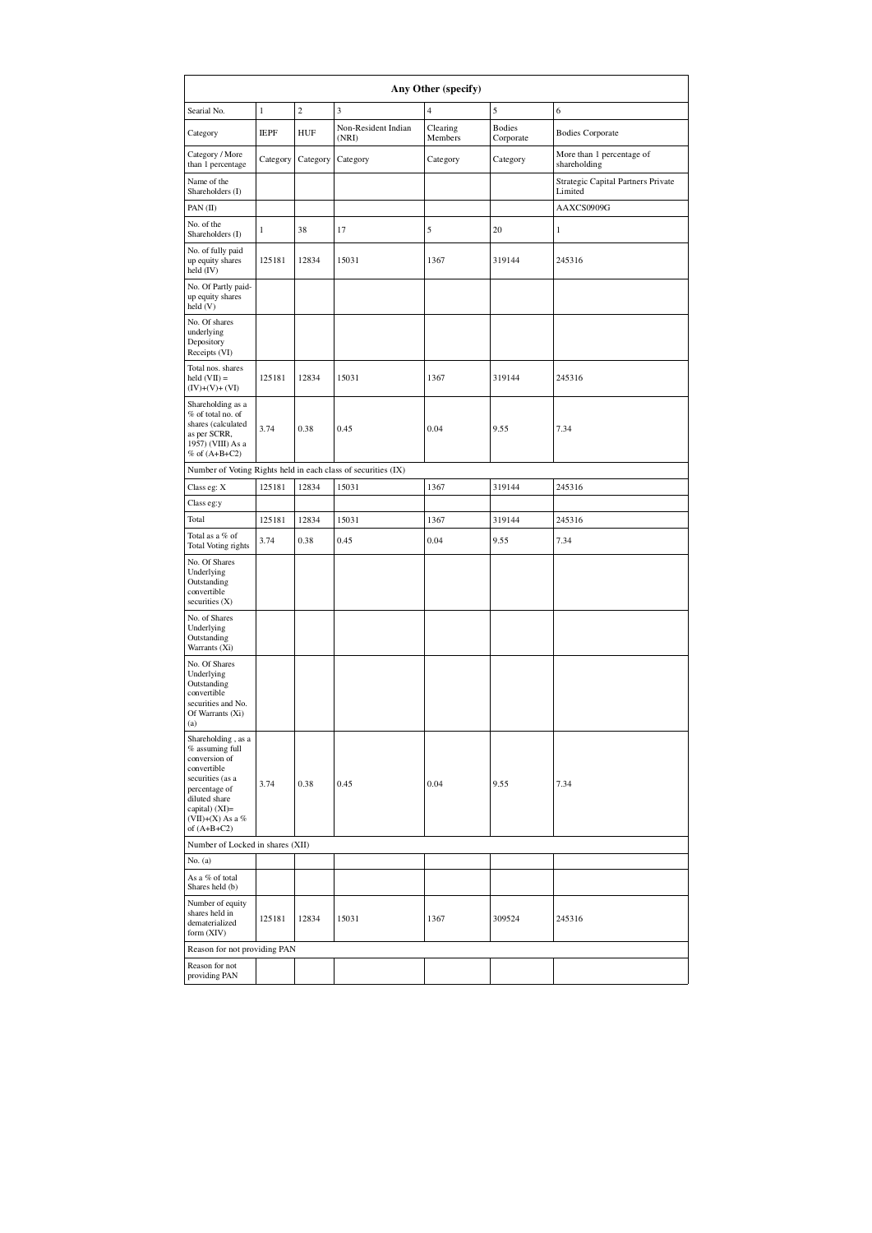|                                                                                                                                                                                        | Any Other (specify) |                |                                                               |                     |                            |                                               |  |  |  |
|----------------------------------------------------------------------------------------------------------------------------------------------------------------------------------------|---------------------|----------------|---------------------------------------------------------------|---------------------|----------------------------|-----------------------------------------------|--|--|--|
| Searial No.                                                                                                                                                                            | $\,1$               | $\overline{c}$ | 3                                                             | $\overline{4}$      | 5                          | 6                                             |  |  |  |
| Category                                                                                                                                                                               | <b>IEPF</b>         | <b>HUF</b>     | Non-Resident Indian<br>(NRI)                                  | Clearing<br>Members | <b>Bodies</b><br>Corporate | <b>Bodies Corporate</b>                       |  |  |  |
| Category / More<br>than 1 percentage                                                                                                                                                   | Category            | Category       | Category                                                      | Category            | Category                   | More than 1 percentage of<br>shareholding     |  |  |  |
| Name of the<br>Shareholders (I)                                                                                                                                                        |                     |                |                                                               |                     |                            | Strategic Capital Partners Private<br>Limited |  |  |  |
| PAN (II)                                                                                                                                                                               |                     |                |                                                               |                     |                            | AAXCS0909G                                    |  |  |  |
| No. of the<br>Shareholders (I)                                                                                                                                                         | $1\,$               | 38             | 17                                                            | 5                   | 20                         | $\mathbf{1}$                                  |  |  |  |
| No. of fully paid<br>up equity shares<br>held (IV)                                                                                                                                     | 125181              | 12834          | 15031                                                         | 1367                | 319144                     | 245316                                        |  |  |  |
| No. Of Partly paid-<br>up equity shares<br>held(V)                                                                                                                                     |                     |                |                                                               |                     |                            |                                               |  |  |  |
| No. Of shares<br>underlying<br>Depository<br>Receipts (VI)                                                                                                                             |                     |                |                                                               |                     |                            |                                               |  |  |  |
| Total nos. shares<br>held $(VII) =$<br>$(IV)+(V)+(VI)$                                                                                                                                 | 125181              | 12834          | 15031                                                         | 1367                | 319144                     | 245316                                        |  |  |  |
| Shareholding as a<br>% of total no. of<br>shares (calculated<br>as per SCRR,<br>1957) (VIII) As a<br>$%$ of $(A+B+C2)$                                                                 | 3.74                | 0.38           | 0.45                                                          | 0.04                | 9.55                       | 7.34                                          |  |  |  |
|                                                                                                                                                                                        |                     |                | Number of Voting Rights held in each class of securities (IX) |                     |                            |                                               |  |  |  |
| Class eg: X                                                                                                                                                                            | 125181              | 12834          | 15031                                                         | 1367                | 319144                     | 245316                                        |  |  |  |
| Class eg:y                                                                                                                                                                             |                     |                |                                                               |                     |                            |                                               |  |  |  |
| Total                                                                                                                                                                                  | 125181              | 12834          | 15031                                                         | 1367                | 319144                     | 245316                                        |  |  |  |
| Total as a % of<br>Total Voting rights                                                                                                                                                 | 3.74                | 0.38           | 0.45                                                          | 0.04                | 9.55                       | 7.34                                          |  |  |  |
| No. Of Shares<br>Underlying<br>Outstanding<br>convertible<br>securities (X)                                                                                                            |                     |                |                                                               |                     |                            |                                               |  |  |  |
| No. of Shares<br>Underlying<br>Outstanding<br>Warrants (Xi)                                                                                                                            |                     |                |                                                               |                     |                            |                                               |  |  |  |
| No. Of Shares<br>Underlying<br>Outstanding<br>convertible<br>securities and No.<br>Of Warrants (Xi)<br>(a)                                                                             |                     |                |                                                               |                     |                            |                                               |  |  |  |
| Shareholding, as a<br>% assuming full<br>conversion of<br>convertible<br>securities (as a<br>percentage of<br>diluted share<br>capital) $(XI)=$<br>(VII)+(X) As a $%$<br>of $(A+B+C2)$ | 3.74                | 0.38           | 0.45                                                          | 0.04                | 9.55                       | 7.34                                          |  |  |  |
| Number of Locked in shares (XII)                                                                                                                                                       |                     |                |                                                               |                     |                            |                                               |  |  |  |
| No. $(a)$                                                                                                                                                                              |                     |                |                                                               |                     |                            |                                               |  |  |  |
| As a % of total<br>Shares held (b)                                                                                                                                                     |                     |                |                                                               |                     |                            |                                               |  |  |  |
| Number of equity<br>shares held in<br>dematerialized<br>form (XIV)                                                                                                                     | 125181              | 12834          | 15031                                                         | 1367                | 309524                     | 245316                                        |  |  |  |
| Reason for not providing PAN                                                                                                                                                           |                     |                |                                                               |                     |                            |                                               |  |  |  |
| Reason for not<br>providing PAN                                                                                                                                                        |                     |                |                                                               |                     |                            |                                               |  |  |  |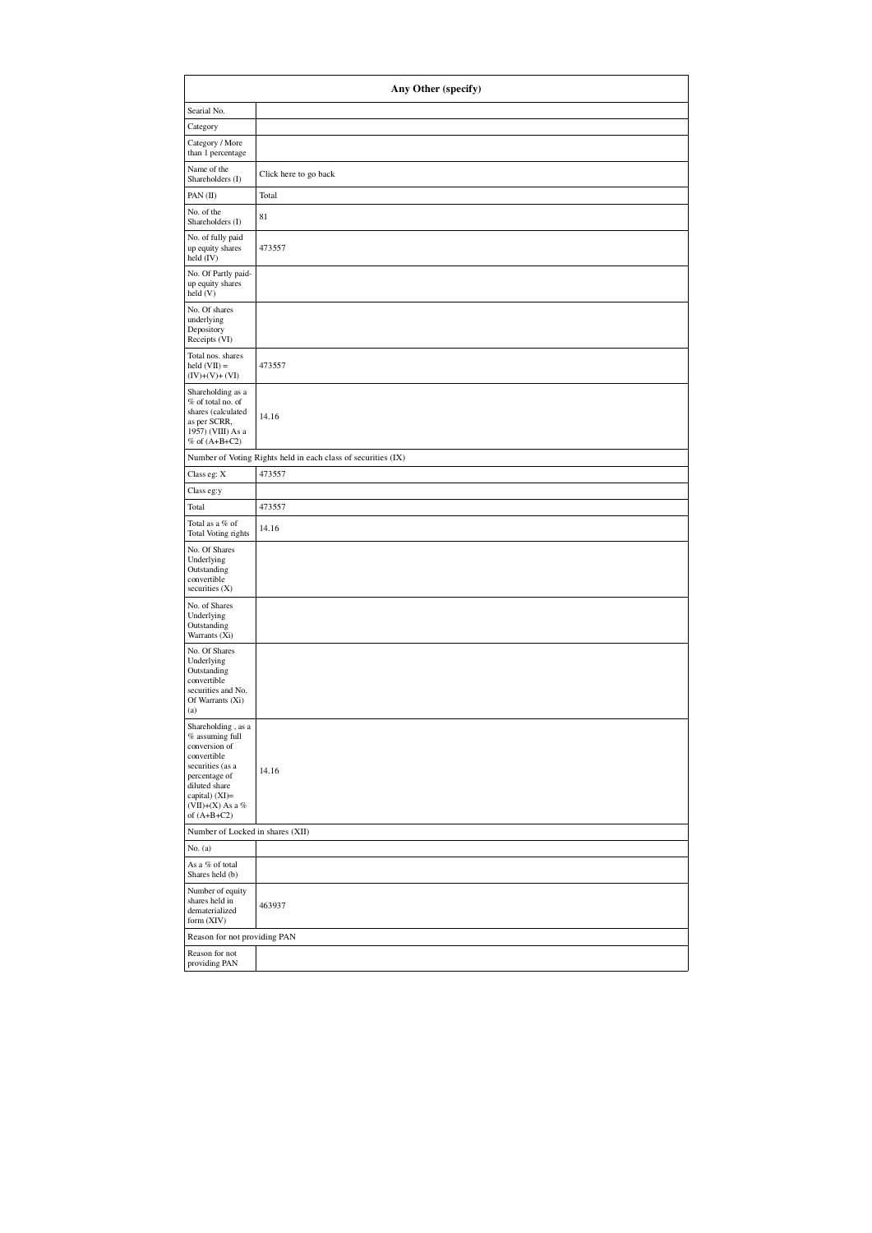| Any Other (specify)                                                                                                                                                                    |                                                               |  |  |  |  |  |  |  |
|----------------------------------------------------------------------------------------------------------------------------------------------------------------------------------------|---------------------------------------------------------------|--|--|--|--|--|--|--|
| Searial No.                                                                                                                                                                            |                                                               |  |  |  |  |  |  |  |
| Category                                                                                                                                                                               |                                                               |  |  |  |  |  |  |  |
| Category / More<br>than 1 percentage                                                                                                                                                   |                                                               |  |  |  |  |  |  |  |
| Name of the<br>Shareholders (I)                                                                                                                                                        | Click here to go back                                         |  |  |  |  |  |  |  |
| PAN (II)                                                                                                                                                                               | Total                                                         |  |  |  |  |  |  |  |
| No. of the<br>Shareholders (I)                                                                                                                                                         | 81                                                            |  |  |  |  |  |  |  |
| No. of fully paid<br>up equity shares<br>held (IV)                                                                                                                                     | 473557                                                        |  |  |  |  |  |  |  |
| No. Of Partly paid-<br>up equity shares<br>held(V)                                                                                                                                     |                                                               |  |  |  |  |  |  |  |
| No. Of shares<br>underlying<br>Depository<br>Receipts (VI)                                                                                                                             |                                                               |  |  |  |  |  |  |  |
| Total nos. shares<br>held $(VII) =$<br>$(IV)+(V)+(VI)$                                                                                                                                 | 473557                                                        |  |  |  |  |  |  |  |
| Shareholding as a<br>% of total no. of<br>shares (calculated<br>as per SCRR,<br>1957) (VIII) As a<br>$%$ of $(A+B+C2)$                                                                 | 14.16                                                         |  |  |  |  |  |  |  |
|                                                                                                                                                                                        | Number of Voting Rights held in each class of securities (IX) |  |  |  |  |  |  |  |
| Class eg: X                                                                                                                                                                            | 473557                                                        |  |  |  |  |  |  |  |
| Class eg:y                                                                                                                                                                             |                                                               |  |  |  |  |  |  |  |
| Total                                                                                                                                                                                  | 473557                                                        |  |  |  |  |  |  |  |
| Total as a % of<br>Total Voting rights                                                                                                                                                 | 14.16                                                         |  |  |  |  |  |  |  |
| No. Of Shares<br>Underlying<br>Outstanding<br>convertible<br>securities (X)                                                                                                            |                                                               |  |  |  |  |  |  |  |
| No. of Shares<br>Underlying<br>Outstanding<br>Warrants (Xi)                                                                                                                            |                                                               |  |  |  |  |  |  |  |
| No. Of Shares<br>Underlying<br>Outstanding<br>convertible<br>securities and No.<br>Of Warrants (Xi)<br>(a)                                                                             |                                                               |  |  |  |  |  |  |  |
| Shareholding, as a<br>% assuming full<br>conversion of<br>convertible<br>securities (as a<br>percentage of<br>diluted share<br>capital) $(XI)=$<br>(VII)+(X) As a $%$<br>of $(A+B+C2)$ | 14.16                                                         |  |  |  |  |  |  |  |
| Number of Locked in shares (XII)                                                                                                                                                       |                                                               |  |  |  |  |  |  |  |
| No. (a)                                                                                                                                                                                |                                                               |  |  |  |  |  |  |  |
| As a % of total<br>Shares held (b)                                                                                                                                                     |                                                               |  |  |  |  |  |  |  |
| Number of equity<br>shares held in<br>dematerialized<br>form (XIV)                                                                                                                     | 463937                                                        |  |  |  |  |  |  |  |
| Reason for not providing PAN                                                                                                                                                           |                                                               |  |  |  |  |  |  |  |
| Reason for not<br>providing PAN                                                                                                                                                        |                                                               |  |  |  |  |  |  |  |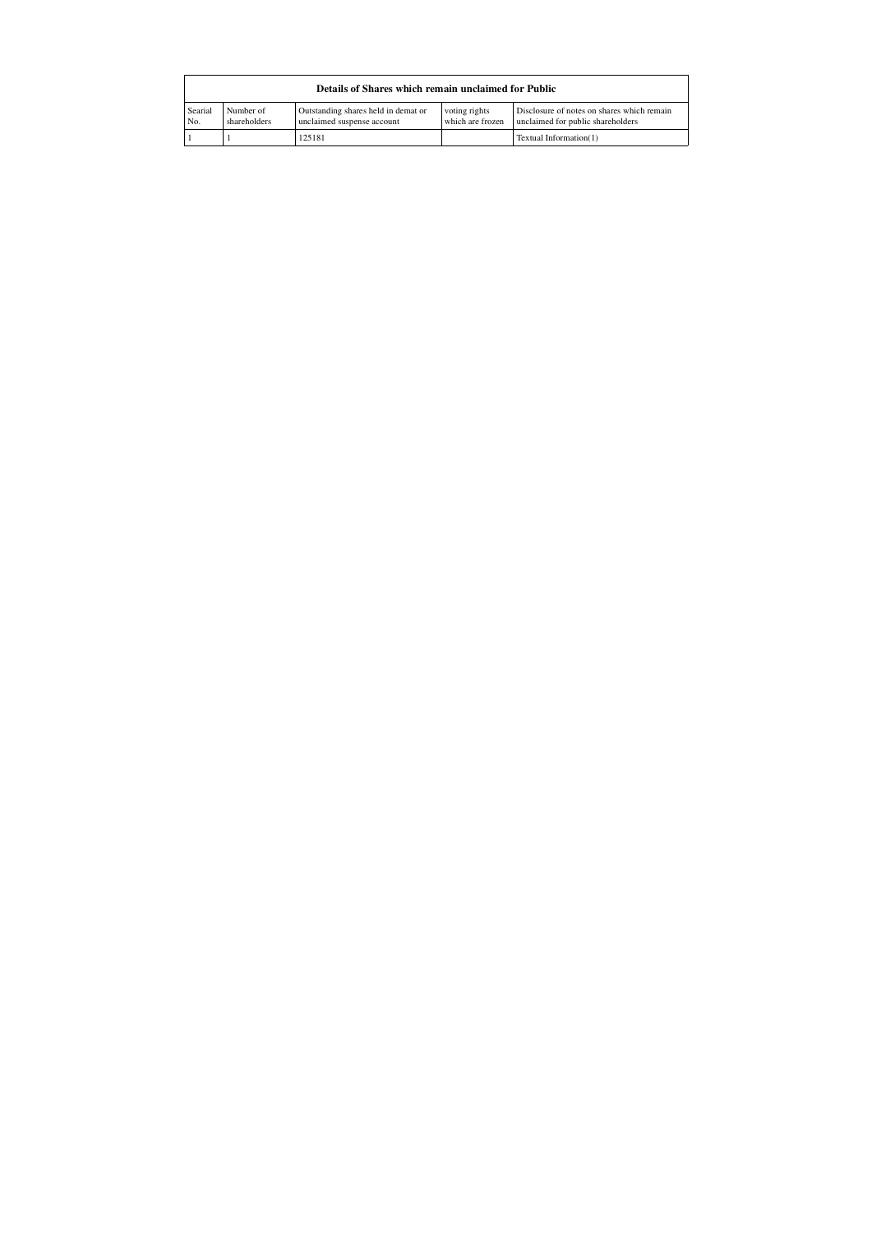| Details of Shares which remain unclaimed for Public |                           |                                                                   |                                   |                                                                                 |  |  |  |  |  |  |
|-----------------------------------------------------|---------------------------|-------------------------------------------------------------------|-----------------------------------|---------------------------------------------------------------------------------|--|--|--|--|--|--|
| Searial<br>No.                                      | Number of<br>shareholders | Outstanding shares held in demat or<br>unclaimed suspense account | voting rights<br>which are frozen | Disclosure of notes on shares which remain<br>unclaimed for public shareholders |  |  |  |  |  |  |
|                                                     |                           | 125181                                                            |                                   | Textual Information(1)                                                          |  |  |  |  |  |  |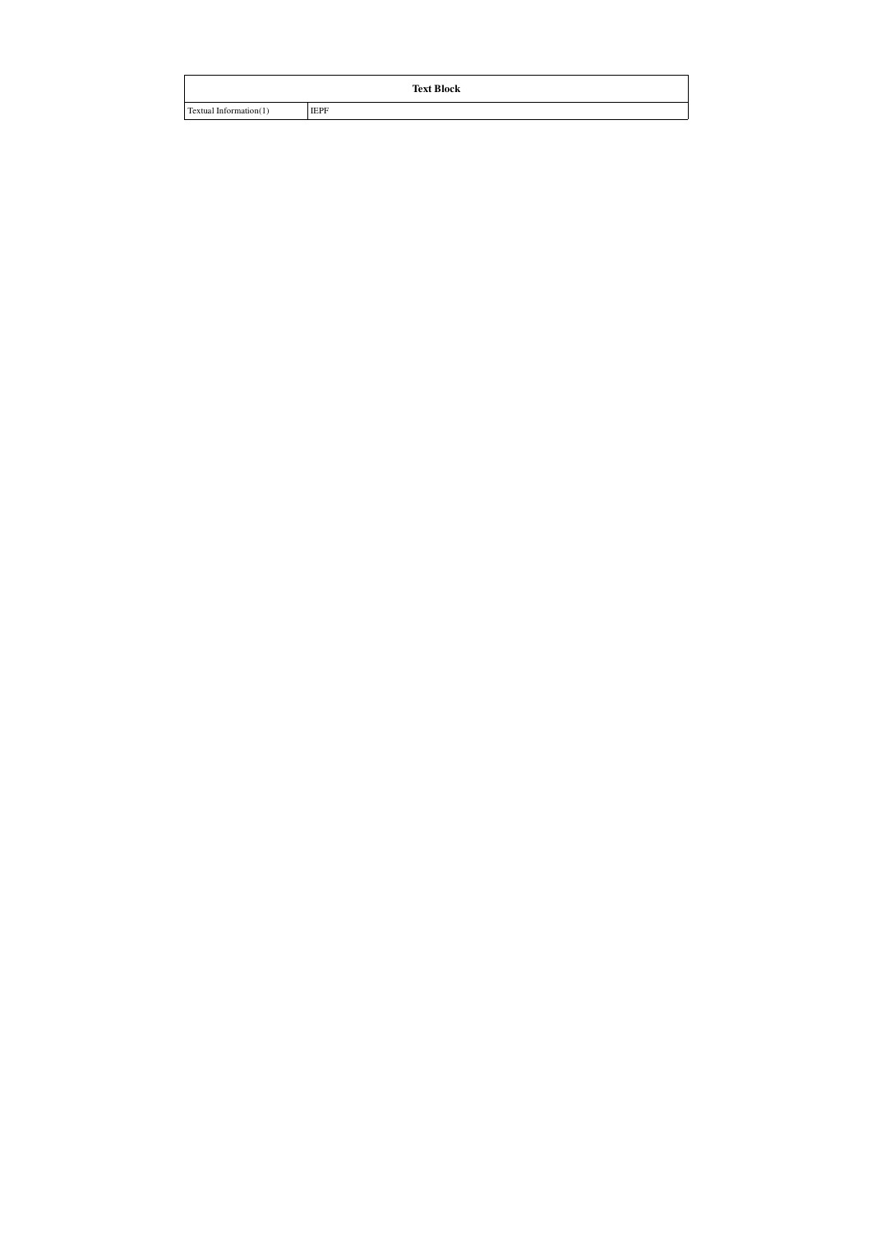| <b>Text Block</b>      |             |  |  |  |  |  |  |
|------------------------|-------------|--|--|--|--|--|--|
| Textual Information(1) | <b>IEPF</b> |  |  |  |  |  |  |